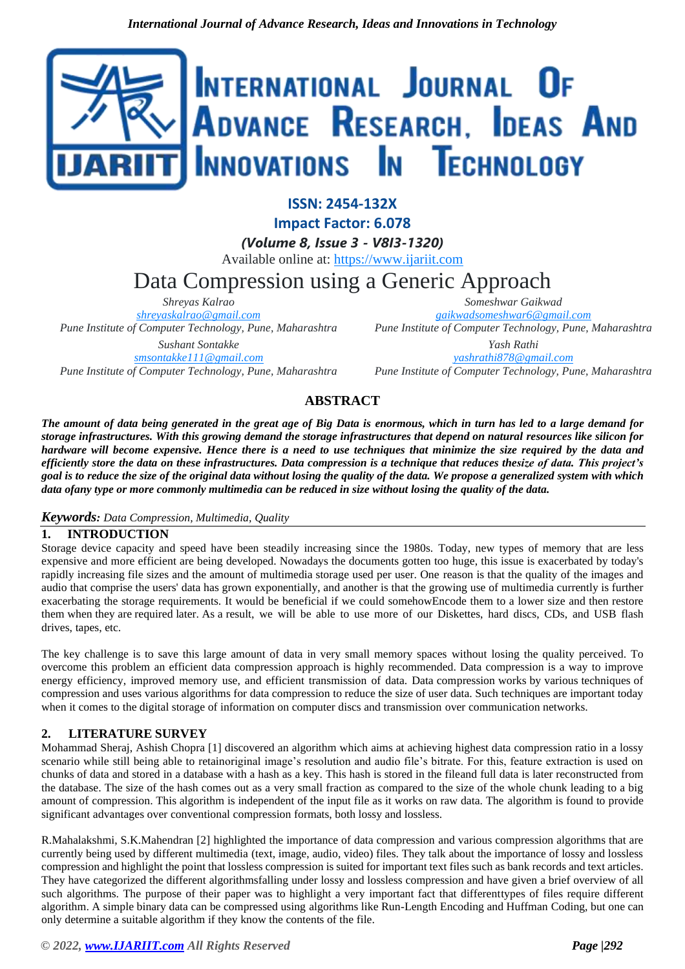

**ISSN: 2454-132X**

**Impact Factor: 6.078**

*(Volume 8, Issue 3 - V8I3-1320)*

Available online at: [https://www.ijariit.com](https://www.ijariit.com/?utm_source=pdf&utm_medium=edition&utm_campaign=OmAkSols&utm_term=V8I3-1320)

# Data Compression using a Generic Approach

*Shreyas Kalrao [shreyaskalrao@gmail.com](mailto:shreyaskalrao@gmail.com) Pune Institute of Computer Technology, Pune, Maharashtra Sushant Sontakke [smsontakke111@gmail.com](mailto:smsontakke111@gmail.com) Pune Institute of Computer Technology, Pune, Maharashtra*

*Someshwar Gaikwad [gaikwadsomeshwar6@gmail.com](mailto:gaikwadsomeshwar6@gmail.com) Pune Institute of Computer Technology, Pune, Maharashtra*

*Yash Rathi [yashrathi878@gmail.com](mailto:yashrathi878@gmail.com) Pune Institute of Computer Technology, Pune, Maharashtra*

# **ABSTRACT**

*The amount of data being generated in the great age of Big Data is enormous, which in turn has led to a large demand for storage infrastructures. With this growing demand the storage infrastructures that depend on natural resources like silicon for hardware will become expensive. Hence there is a need to use techniques that minimize the size required by the data and*  efficiently store the data on these infrastructures. Data compression is a technique that reduces thesize of data. This project's *goal is to reduce the size of the original data without losing the quality of the data. We propose a generalized system with which data ofany type or more commonly multimedia can be reduced in size without losing the quality of the data.*

# *Keywords: Data Compression, Multimedia, Quality*

# **1. INTRODUCTION**

Storage device capacity and speed have been steadily increasing since the 1980s. Today, new types of memory that are less expensive and more efficient are being developed. Nowadays the documents gotten too huge, this issue is exacerbated by today's rapidly increasing file sizes and the amount of multimedia storage used per user. One reason is that the quality of the images and audio that comprise the users' data has grown exponentially, and another is that the growing use of multimedia currently is further exacerbating the storage requirements. It would be beneficial if we could somehowEncode them to a lower size and then restore them when they are required later. As a result, we will be able to use more of our Diskettes, hard discs, CDs, and USB flash drives, tapes, etc.

The key challenge is to save this large amount of data in very small memory spaces without losing the quality perceived. To overcome this problem an efficient data compression approach is highly recommended. Data compression is a way to improve energy efficiency, improved memory use, and efficient transmission of data. Data compression works by various techniques of compression and uses various algorithms for data compression to reduce the size of user data. Such techniques are important today when it comes to the digital storage of information on computer discs and transmission over communication networks.

# **2. LITERATURE SURVEY**

Mohammad Sheraj, Ashish Chopra [1] discovered an algorithm which aims at achieving highest data compression ratio in a lossy scenario while still being able to retainoriginal image's resolution and audio file's bitrate. For this, feature extraction is used on chunks of data and stored in a database with a hash as a key. This hash is stored in the fileand full data is later reconstructed from the database. The size of the hash comes out as a very small fraction as compared to the size of the whole chunk leading to a big amount of compression. This algorithm is independent of the input file as it works on raw data. The algorithm is found to provide significant advantages over conventional compression formats, both lossy and lossless.

R.Mahalakshmi, S.K.Mahendran [2] highlighted the importance of data compression and various compression algorithms that are currently being used by different multimedia (text, image, audio, video) files. They talk about the importance of lossy and lossless compression and highlight the point that lossless compression is suited for important text files such as bank records and text articles. They have categorized the different algorithmsfalling under lossy and lossless compression and have given a brief overview of all such algorithms. The purpose of their paper was to highlight a very important fact that differenttypes of files require different algorithm. A simple binary data can be compressed using algorithms like Run-Length Encoding and Huffman Coding, but one can only determine a suitable algorithm if they know the contents of the file.